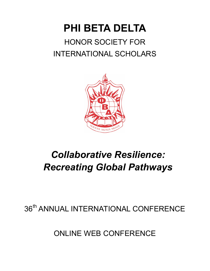# **PHI BETA DELTA** HONOR SOCIETY FOR INTERNATIONAL SCHOLARS



# *Collaborative Resilience: Recreating Global Pathways*

## 36<sup>th</sup> ANNUAL INTERNATIONAL CONFERENCE

ONLINE WEB CONFERENCE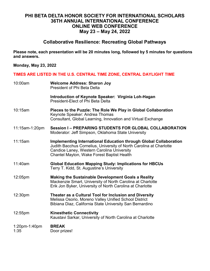#### **PHI BETA DELTA HONOR SOCIETY FOR INTERNATIONAL SCHOLARS 36TH ANNUAL INTERNATIONAL CONFERENCE ONLINE WEB CONFERENCE May 23 – May 24, 2022**

#### **Collaborative Resilience: Recreating Global Pathways**

**Please note, each presentation will be 20 minutes long, followed by 5 minutes for questions and answers.** 

**Monday, May 23, 2022**

#### **TIMES ARE LISTED IN THE U.S. CENTRAL TIME ZONE, CENTRAL DAYLIGHT TIME**

| 10:00am               | <b>Welcome Address: Sharon Joy</b><br><b>President of Phi Beta Delta</b>                                                                                                                                                                    |
|-----------------------|---------------------------------------------------------------------------------------------------------------------------------------------------------------------------------------------------------------------------------------------|
|                       | Introduction of Keynote Speaker: Virginia Loh-Hagan<br>President-Elect of Phi Beta Delta                                                                                                                                                    |
| 10:15am               | Pieces to the Puzzle: The Role We Play in Global Collaboration<br>Keynote Speaker: Andrea Thomas<br>Consultant, Global Learning, Innovation and Virtual Exchange                                                                            |
| 11:15am-1:20pm        | Session I - PREPARING STUDENTS FOR GLOBAL COLLABORATION<br>Moderator: Jeff Simpson, Oklahoma State University                                                                                                                               |
| 11:15am               | <b>Implementing International Education through Global Collaboration</b><br>Judith Bacchus Cornelius, University of North Carolina at Charlotte<br>Candice Laney, Western Carolina University<br>Chantel Mayton, Wake Forest Baptist Health |
| 11:40am               | <b>Global Education Mapping Study: Implications for HBCUs</b><br>Terry T. Kidd, St. Augustine's University                                                                                                                                  |
| 12:05pm               | <b>Making the Sustainable Development Goals a Reality</b><br>Mackenzie Smart, University of North Carolina at Charlotte<br>Erik Jon Byker, University of North Carolina at Charlotte                                                        |
| 12:30pm               | Theater as a Cultural Tool for Inclusion and Diversity<br>Melissa Osorio, Moreno Valley Unified School District<br>Bibiana Diaz, California State University San Bernardino                                                                 |
| 12:55pm               | <b>Kinesthetic Connectivity</b><br>Kaustavi Sarkar, University of North Carolina at Charlotte                                                                                                                                               |
| 1:20pm-1:40pm<br>1:35 | <b>BREAK</b><br>Door prizes!                                                                                                                                                                                                                |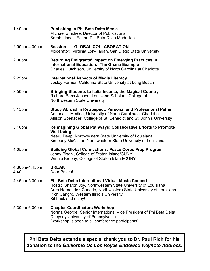| 1:40 <sub>pm</sub>    | Publishing in Phi Beta Delta Media<br>Michael Smithee, Director of Publications<br>Sarah Lindell, Editor, Phi Beta Delta Medallion                                                                                                                                 |
|-----------------------|--------------------------------------------------------------------------------------------------------------------------------------------------------------------------------------------------------------------------------------------------------------------|
| 2:00pm-4:30pm         | <b>Session II - GLOBAL COLLABORATION</b><br>Moderator: Virginia Loh-Hagan, San Diego State University                                                                                                                                                              |
| 2:00 <sub>pm</sub>    | Returning Emigrants' Impact on Emerging Practices in<br><b>International Education: The Ghana Example</b><br>Charles Hutchison, University of North Carolina at Charlotte                                                                                          |
| $2:25$ pm             | <b>International Aspects of Media Literacy</b><br>Lesley Farmer, California State University at Long Beach                                                                                                                                                         |
| 2:50 <sub>pm</sub>    | <b>Bringing Students to Italia Incanta, the Magical Country</b><br>Richard Bach Jensen, Louisiana Scholars' College at<br>Northwestern State University                                                                                                            |
| 3:15 <sub>pm</sub>    | <b>Study Abroad in Retrospect: Personal and Professional Paths</b><br>Adriana L. Medina, University of North Carolina at Charlotte<br>Allison Spenader, College of St. Benedict and St. John's University                                                          |
| 3:40pm                | <b>Reimagining Global Pathways: Collaborative Efforts to Promote</b><br><b>Well-being</b><br>Neeru Deep, Northwestern State University of Louisiana<br>Kimberly McAlister, Northwestern State University of Louisiana                                              |
| $4:05$ pm             | <b>Building Global Connections: Peace Corps Prep Program</b><br>Jenny Pisani, College of Staten Island/CUNY<br>Winnie Brophy, College of Staten Island/CUNY                                                                                                        |
| 4:30pm-4:45pm<br>4:40 | <b>BREAK</b><br>Door Prizes!                                                                                                                                                                                                                                       |
| 4:45pm-5:30pm         | <b>Phi Beta Delta International Virtual Music Concert</b><br>Hosts: Sharon Joy, Northwestern State University of Louisiana<br>Aura Hernandez-Canedo, Northwestern State University of Louisiana<br>Rich Cangro, Western Illinois University<br>Sit back and enjoy! |
| 5:30pm-6:30pm         | <b>Chapter Coordinators Workshop</b><br>Norma George, Senior International Vice President of Phi Beta Delta<br>Cheyney University of Pennsylvania<br>(workshop is open to all conference participants)                                                             |

**Phi Beta Delta extends a special thank you to Dr. Paul Rich for his donation to the** *Guillermo De Los Reyes Endowed Keynote Address.*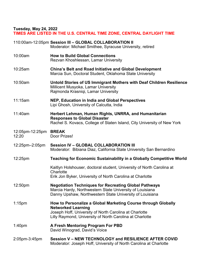**Tuesday, May 24, 2022**

## **TIMES ARE LISTED IN THE U.S. CENTRAL TIME ZONE, CENTRAL DAYLIGHT TIME**

|                          | 110:00am-12:05pm Session III - GLOBAL COLLABORATION II<br>Moderator: Michael Smithee, Syracuse University, retired                                                                                               |
|--------------------------|------------------------------------------------------------------------------------------------------------------------------------------------------------------------------------------------------------------|
| 10:00am                  | <b>How to Build Global Connections</b><br>Rezvan Khoshlessan, Lamar University                                                                                                                                   |
| 10:25am                  | <b>China's Belt and Road Initiative and Global Development</b><br>Marcia Sun, Doctoral Student, Oklahoma State University                                                                                        |
| 10:50am                  | Untold Stories of US Immigrant Mothers with Deaf Children Resilience<br>Millicent Musyoka, Lamar University<br>Rajmonda Krasniqi, Lamar University                                                               |
| 11:15am                  | NEP, Education in India and Global Perspectives<br>Lipi Ghosh, University of Calcutta, India                                                                                                                     |
| 11:40am                  | Herbert Lehman, Human Rights, UNRRA, and Humanitarian<br><b>Responses to Global Disaster</b><br>Rachel S. Kovacs, College of Staten Island, City University of New York                                          |
| 12:05pm-12:25pm<br>12:20 | <b>BREAK</b><br>Door Prizes!                                                                                                                                                                                     |
| 12:25pm-2:05pm           | <b>Session IV - GLOBAL COLLABORATION III</b><br>Moderator: Bibiana Diaz, California State University San Bernardino                                                                                              |
| 12:25pm                  | <b>Teaching for Economic Sustainability in a Globally Competitive World</b>                                                                                                                                      |
|                          | Kaitlyn Holshouser, doctoral student, University of North Carolina at<br>Charlotte<br>Erik Jon Byker, University of North Carolina at Charlotte                                                                  |
| 12:50pm                  | <b>Negotiation Techniques for Recreating Global Pathways</b><br>Marcia Hardy, Northwestern State University of Louisiana<br>Danny Upshaw, Northwestern State University of Louisiana                             |
| $1:15$ pm                | How to Personalize a Global Marketing Course through Globally<br><b>Networked Learning</b><br>Joseph Hoff, University of North Carolina at Charlotte<br>Lilly Raymond, University of North Carolina at Charlotte |
| 1:40 <sub>pm</sub>       | A Fresh Mentoring Program For PBD<br>David Winograd, David's Voice                                                                                                                                               |
| 2:05pm-3:45pm            | Session V - NEW TECHNOLOGY and RESILIENCE AFTER COVID<br>Moderator: Joseph Hoff, University of North Carolina at Charlotte                                                                                       |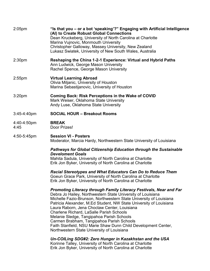| $2:05$ pm           | "Is that you - or a bot 'speaking'?" Engaging with Artificial Intelligence<br>(AI) to Create Robust Global Connections<br>Dean Kruckeberg, University of North Carolina at Charlotte<br>Marina Vujnovic, Monmouth University<br>Christopher Galloway, Massey University, New Zealand<br>Lukasz Swiatek, University of New South Wales, Australia                                                                                                                                                                                                                                           |
|---------------------|--------------------------------------------------------------------------------------------------------------------------------------------------------------------------------------------------------------------------------------------------------------------------------------------------------------------------------------------------------------------------------------------------------------------------------------------------------------------------------------------------------------------------------------------------------------------------------------------|
| 2:30 <sub>pm</sub>  | Reshaping the China 1-2-1 Experience: Virtual and Hybrid Paths<br>Ann Ludwick, George Mason University<br>Rachel Spence, George Mason University                                                                                                                                                                                                                                                                                                                                                                                                                                           |
| $2:55$ pm           | <b>Virtual Learning Abroad</b><br>Olivia Miljanic, University of Houston<br>Marina Sebastijanovic, University of Houston                                                                                                                                                                                                                                                                                                                                                                                                                                                                   |
| 3:20 <sub>pm</sub>  | <b>Coming Back: Risk Perceptions in the Wake of COVID</b><br>Mark Weiser, Oklahoma State University<br>Andy Luse, Oklahoma State University                                                                                                                                                                                                                                                                                                                                                                                                                                                |
| $3:45-4:40$ pm      | <b>SOCIAL HOUR - Breakout Rooms</b>                                                                                                                                                                                                                                                                                                                                                                                                                                                                                                                                                        |
| 4:40-4:50pm<br>4:45 | <b>BREAK</b><br>Door Prizes!                                                                                                                                                                                                                                                                                                                                                                                                                                                                                                                                                               |
| 4:50-5:45pm         | <b>Session VI - Posters</b><br>Moderator, Marcia Hardy, Northwestern State University of Louisiana                                                                                                                                                                                                                                                                                                                                                                                                                                                                                         |
|                     | <b>Pathways for Global Citizenship Education through the Sustainable</b><br><b>Develoment Goals</b><br>Mahita Sadula, University of North Carolina at Charlotte<br>Erik Jon Byker, University of North Carolina at Charlotte                                                                                                                                                                                                                                                                                                                                                               |
|                     | <b>Racial Stereotypes and What Educators Can Do to Reduce Them</b><br>Goeun Grace Park, University of North Carolina at Charlotte<br>Erik Jon Byker, University of North Carolina at Charlotte                                                                                                                                                                                                                                                                                                                                                                                             |
|                     | Promoting Literacy through Family Literacy Festivals, Near and Far<br>Debra Jo Hailey, Northwestern State University of Louisiana<br>Michelle Fazio-Brunson, Northwestern State University of Louisiana<br>Patricia Alexander, M.Ed Student, NW State University of Louisiana<br>Laura Raborn, Jena Choctaw Center, Louisiana<br><b>Charlene Richard, LaSalle Parish Schools</b><br>Melanie Sledge, Tangipahoa Parish Schools<br>Carmen Brabham, Tangipahoa Parish Schools<br>Faith Stanfield, NSU Marie Shaw Dunn Child Development Center,<br>Northwestern State University of Louisiana |
|                     | Un-COILing SDG#2: Zero Hunger in Kazakhstan and the USA<br>Korinne Talley, University of North Carolina at Charlotte<br>Erik Jon Byker, University of North Carolina at Charlotte                                                                                                                                                                                                                                                                                                                                                                                                          |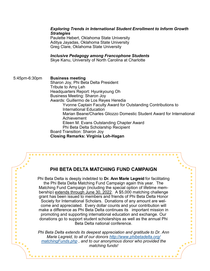#### *Exploring Trends in International Student Enrollment to Inform Growth Strategies*

Paulette Hebert, Oklahoma State University Aditya Jayadas, Oklahoma State University Greg Clare, Oklahoma State University

#### *Inclusive Pedagogy among Francophone Students*

Skye Kanu, University of North Carolina at Charlotte

5:45pm-6:30pm **Business meeting** Sharon Joy, Phi Beta Delta President Tribute to Amy Leh Headquarters Report: Hyunkyoung Oh Business Meeting: Sharon Joy Awards: Guillermo de Los Reyes Heredia Yvonne Captain Faculty Award for Outstanding Contributions to International Education Marian Beane/Charles Gliozzo Domestic Student Award for International Achievement Eileen M. Evans Outstanding Chapter Award Phi Beta Delta Scholarship Recipient Board Transition: Sharon Joy **Closing Remarks: Virginia Loh-Hagan**

#### **PHI BETA DELTA MATCHING FUND CAMPAIGN**

 $\bullet$  $\bullet$  $\bullet$ 

 $\bullet$ 

 $\bullet$ 

 $\bullet$ 

 $\bullet$ 

 $\bullet$ 

 $\bullet$ 

 $\bullet$ 

 $\bullet$ 

 $\bullet$ 

 $\bullet$ 

 $\bullet$ 

 $\bullet$ 

 $\bullet$  $\bullet$  $\bullet$ 

 $\bullet$ 

 $\bullet$ 

 $\bullet$ 

 $\bullet$ 

 $\bullet$ 

 $\bullet$ 

 $\bullet$ 

 $\bullet$ 

 $\bullet$ 

 $\bullet$ 

 $\bullet$ 

 $\bullet$ 

 $\blacksquare$ 

 $\bullet$ 

 $\bullet$ 

 $\bullet$  $\bullet$ 

Phi Beta Delta is deeply indebted to **Dr. Ann Marie Legreid** for facilitating the Phi Beta Delta Matching Fund Campaign again this year. The Matching Fund Campaign (including the special option of lifetime membership) extends through June 30, 2022. A \$5,000 matching challenge grant has been issued to members and friends of Phi Beta Delta Honor Society for International Scholars. Donations of any amount are welcome and appreciated. Every dollar counts and your contribution will make a difference as Phi Beta Delta continues its important mission in promoting and supporting international education and exchange. Our donations go to support student scholarships as well as the annual Phi Beta Delta national conference.

*Phi Beta Delta extends its deepest appreciation and gratitude to Dr. Ann Marie Legreid, to all of our donors [http://www.phibetadelta.org/](http://www.phibetadelta.org/matchingFunds.php) [matchingFunds.php](http://www.phibetadelta.org/matchingFunds.php) , and to our anonymous donor who provided the matching funds!*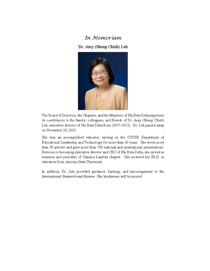#### In Memoriam

Dr. Amy (Sheng Chieh) Leh



The Board of Directors, the Chapters, and the Members of Phi Beta Delta expresses its condolences to the family, colleagues, and friends of Dr. Amy (Sheng Chieh) Leh, executive director of Phi Beta Delta from (2017-2021). Dr. Leh passed away on November 22, 2021.

She was an accomplished educator, serving in the CSUSB Department of Educational Leadership and Technology for more than 20 years. She wrote more than 30 articles and gave more than 100 national and international presentations. Previous to becoming executive director and CEO of Phi Beta Delta, she served as treasurer and president of Gamma Lambda chapter. She received her Ph.D. in education from Arizona State University.

In addition, Dr. Leh provided guidance, backing, and encouragement to the International Research and Review. Her kindnesses will be missed.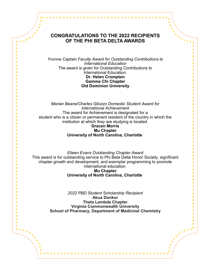#### **CONGRATULATIONS TO THE 2022 RECIPIENTS OF THE PHI BETA DELTA AWARDS**

 $\overline{\cdots}$ 

 $\bullet$  $\bullet$  $\bullet$ 

 $\bullet$ 

 $\bullet$ 

 $\bullet$ 

 $\bullet$  $\bullet$ 

 $\bullet$ 

 $\bullet$ 

 $\bullet$ 

 $\bullet$  $\bullet$ 

 $\bullet$ 

 $\bullet$  $\bullet$ 

 $\bullet$ 

 $\bullet$ 

 $\bullet$ 

 $\bullet$  $\bullet$ 

 $\bullet$ 

 $\bullet$  $\bullet$  $\bullet$  $\bullet$  $\bullet$  $\bullet$  $\bullet$  $\bullet$  $\bullet$  $\bullet$  $\bullet$  $\bullet$ 

 $\bullet$ 

 $\bullet$ 

 $\ddotsc$ 

 $\ddotsc$ 

 $\blacksquare$  $\bullet$ 

 $\bullet$ 

 $\bullet$ 

 $\bullet$ 

 $\bullet$ 

 $\bullet$ 

 $\bullet$ 

 $\bullet$ 

 $\bullet$ 

 $\bullet$ 

 $\bullet$ 

 $\bullet$ 

 $\bullet$  $\bullet$ 

 $\bullet$ 

 $\bullet$ 

 $\bullet$ 

 $\bullet$ 

. . . . . . . . . . . .

*Yvonne Captain Faculty Award for Outstanding Contributions to International Education* The award is given for Outstanding Contributions to International Education. **Dr. Helen Crompton Gamma Chi Chapter Old Dominion University**

*Marian Beane/Charles Gliozzo Domestic Student Award for International Achievement* The award for Achievement is designated for a student who is a citizen or permanent resident of the country in which the institution at which they are studying is located. **Gracen Morris**

## **Mu Chapter University of North Carolina, Charlotte**

*Eileen Evans Outstanding Chapter Award* This award is for outstanding service to Phi Beta Delta Honor Society, significant chapter growth and development, and exemplar programming to promote international education. **Mu Chapter University of North Carolina, Charlotte** 

> *2022 PBD Student Scholarship Recipient* **Akua Donkor Theta Lambda Chapter Virginia Commonwealth University School of Pharmacy, Department of Medicinal Chemistry**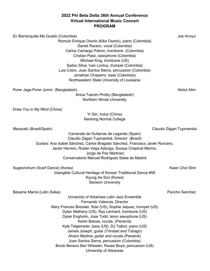#### **2022 Phi Beta Delta 36th Annual Conference Virtual International Music Concert PROGRAM**

| En Barranquilla Me Quedo (Colombia)<br>Romulo Enrique Osorio (Kike Osorio), piano (Colombia)<br>Daniel Racero, vocal (Colombia)<br>Carlos Camargo Patron, trombone (Colombia)<br>Cristian Paez, saxophone (Colombia)<br>Michael King, trombone (US)<br>Sadoc Silva, Ivan Lorduy, trumpet (Colombia)<br>Luis Colon, Juan Santos Sierra, percussion (Colombia)<br>Jonathan Chaparro, bass (Colombia)<br>Northwestern State University of Louisiana                                                                                                                                                | Joe Arroyo               |
|-------------------------------------------------------------------------------------------------------------------------------------------------------------------------------------------------------------------------------------------------------------------------------------------------------------------------------------------------------------------------------------------------------------------------------------------------------------------------------------------------------------------------------------------------------------------------------------------------|--------------------------|
| Porer Jaga Porer Jomin (Bangladesh)                                                                                                                                                                                                                                                                                                                                                                                                                                                                                                                                                             | Abdul Alim               |
| Anica Tasnim Protity (Bangladesh)<br>Northern Illinois University                                                                                                                                                                                                                                                                                                                                                                                                                                                                                                                               |                          |
| Draw You in My Mind (China)                                                                                                                                                                                                                                                                                                                                                                                                                                                                                                                                                                     |                          |
| Yi Qin, hulus (China)<br><b>Nantong Normal College</b>                                                                                                                                                                                                                                                                                                                                                                                                                                                                                                                                          |                          |
| Maracatú (Brazil/Spain)                                                                                                                                                                                                                                                                                                                                                                                                                                                                                                                                                                         | Claudio Zágari Tupinambá |
| Camerata de Guitarras de Leganés (Spain)<br>Claudio Zágari Tupinambá, Director (Brazil)<br>Guitars: Ana Isabel Sánchez, Carlos Bragado Sánchez, Francisco Javier Roncero,<br>Javier Herrero, Rubén Vega Astorga, Soraya Chapinal Merino,<br>Jorge de Paz Martínez<br>Conservatorio Manuel Rodriguez Sales de Madrid                                                                                                                                                                                                                                                                             |                          |
| Sugeonchum (Scarf Dance) (Korea)<br>Intangible Cultural Heritage of Korean Traditional Dance #59<br>Kyung Ae Son (Korea)<br>Seowon University                                                                                                                                                                                                                                                                                                                                                                                                                                                   | <b>Kwan Chol Shin</b>    |
| Bésame Mamá (Latin Salsa)<br>University of Arkansas Latin Jazz Ensemble<br>Fernando Valencia, Director<br>Mary Frances Bressler, flute (US), Sophie Jaquez, trumpet (US)<br>Dylan Matheny (US), Ray Lenhard, trombone (US)<br>Dylan Engholm, Jose Todd, tenor saxophone (US)<br>Kerlin Balzas, vocals, (Panamá)<br>Kyle Telgemeier, bass (US), DJ Talbot, piano (US)<br>James Joseph, guitar (Trinidad and Tobago)<br>Alvaro Medina, guitar and vocals (Panamá)<br>Juan Santos Sierra, percussion (Colombia)<br>Brock Benson Ben Wheeler, Roxee Boyd, percussion (US)<br>University of Arkansas | Pancho Sanchez           |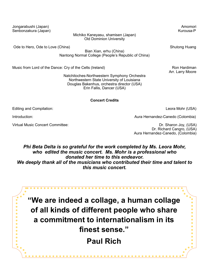Jongarabushi (Japan) Amomori Senbonzakura (Japan) Kurousa-P

Michiko Kaneyasu, shamisen (Japan) Old Dominion University

Ode to Hero, Ode to Love (China) Shutong Huang Huang Huang Huang Huang Huang Huang Huang Huang Huang Huang Huang

Bian Xian, erhu (China) Nantong Normal College (People's Republic of China)

Music from Lord of the Dance: Cry of the Celts (Ireland) Music from Hardiman Ron Hardiman

Natchitoches-Northwestern Symphony Orchestra Northwestern State University of Louisiana Douglas Bakenhus, orchestra director (USA) Erin Fallis, Dancer (USA)

#### **Concert Credits**

Editing and Compilation: Leora Mohr (USA)

Introduction: and authority is a set of the contractor of the Aura Hernandez-Canedo (Colombia)

 $\bullet$  $\bullet$ 

Virtual Music Concert Committee: Dr. Sharon Joy, (USA)

 Dr. Richard Cangro, (USA) Aura Hernandez-Canedo, (Colombia)

*Phi Beta Delta is so grateful for the work completed by Ms. Leora Mohr, who edited the music concert. Ms. Mohr is a professional who donated her time to this endeavor. We deeply thank all of the musicians who contributed their time and talent to this music concert.* 

**"We are indeed a collage, a human collage of all kinds of different people who share a commitment to internationalism in its finest sense." Paul Rich**

Arr. Larry Moore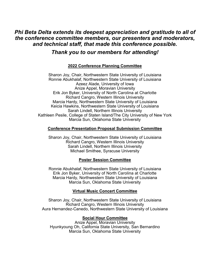## *Phi Beta Delta extends its deepest appreciation and gratitude to all of the conference committee members, our presenters and moderators, and technical staff, that made this conference possible.*

## *Thank you to our members for attending!*

#### **2022 Conference Planning Committee**

Sharon Joy, Chair, Northwestern State University of Louisiana Ronnie Abukhalaf, Northwestern State University of Louisiana Azeez Alade, University of Iowa Anize Appel, Moravian University Erik Jon Byker, University of North Carolina at Charlotte Richard Cangro, Western Illinois University Marcia Hardy, Northwestern State University of Louisiana Keicia Hawkins, Northwestern State University of Louisiana Sarah Lindell, Northern Illinois University Kathleen Pesile, College of Staten Island/The City University of New York Marcia Sun, Oklahoma State University

#### **Conference Presentation Proposal Submission Committee**

Sharon Joy, Chair, Northwestern State University of Louisiana Richard Cangro, Western Illinois University Sarah Lindell, Northern Illinois University Michael Smithee, Syracuse University

#### **Poster Session Committee**

Ronnie Abukhalaf, Northwestern State University of Louisiana Erik Jon Byker, University of North Carolina at Charlotte Marcia Hardy, Northwestern State University of Louisiana Marcia Sun, Oklahoma State University

#### **Virtual Music Concert Committee**

Sharon Joy, Chair, Northwestern State University of Louisiana Richard Cangro, Western Illinois University Aura Hernandez-Canedo, Northwestern State University of Louisiana

#### **Social Hour Committee**

Anize Appel, Moravian University Hyunkyoung Oh, California State University, San Bernardino Marcia Sun, Oklahoma State University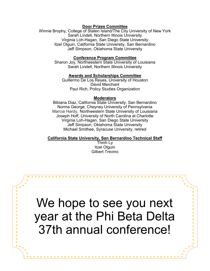#### **Door Prizes Committee**

Winnie Brophy, College of Staten Island/The City University of New York Sarah Lindell, Northern Illinois University Virginia Loh-Hagan, San Diego State University Itzel Olguin, California State University, San Bernardino Jeff Simpson, Oklahoma State University

#### **Conference Program Committee**

Sharon Joy, Northwestern State University of Louisiana Sarah Lindell, Northern Illinois University

#### **Awards and Scholarships Committee**

Guillermo De Los Reyes, University of Houston David Merchant Paul Rich, Policy Studies Organization

#### **Moderators**

Bibiana Diaz, California State University, San Bernardino Norma George, Cheyney University of Pennsylvania Marcia Hardy, Northwestern State University of Louisiana Joseph Hoff, University of North Carolina at Charlotte Virginia Loh-Hagan, San Diego State University Jeff Simpson, Oklahoma State University Michael Smithee, Syracuse University, retired

#### **California State University, San Bernardino Technical Staff**

Thinh Ly Itzel Olguin Gilbert Trevino

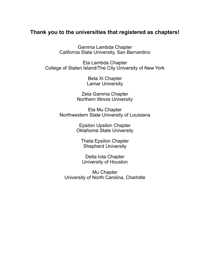## **Thank you to the universities that registered as chapters!**

Gamma Lambda Chapter California State University, San Bernardino

Eta Lambda Chapter College of Staten Island/The City University of New York

> Beta Xi Chapter Lamar University

Zeta Gamma Chapter Northern Illinois University

Eta Mu Chapter Northwestern State University of Louisiana

> Epsilon Upsilon Chapter Oklahoma State University

Theta Epsilon Chapter Shepherd University

Delta Iota Chapter University of Houston

Mu Chapter University of North Carolina, Charlotte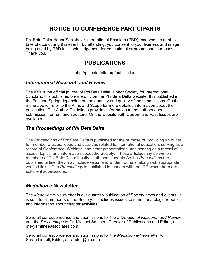## **NOTICE TO CONFERENCE PARTICIPANTS**

Phi Beta Delta Honor Society for International Scholars (PBD) reserves the right to take photos during this event. By attending, you consent to your likeness and image being used by PBD in its sole judgement for educational or promotional purposes. Thank you.

## **PUBLICATIONS**

http://phibetadelta.org/publication

#### *International Research and Review*

The IRR is the official journal of Phi Beta Delta, Honor Society for International Scholars. It is published on-line only on the Phi Beta Delta website. It is published in the Fall and Spring depending on the quantity and quality of the submissions. On the menu above, refer to the Aims and Scope for more detailed information about the publication. The Author Guidelines provides information to the authors about submission, format, and structure. On the website both Current and Past Issues are available.

#### **The** *Proceedings of Phi Beta Delta*

The *Proceedings of Phi Beta Delta* is published for the purpose of: providing an outlet for member articles, ideas and activities related to international education; serving as a record of Conference, Webinar, and other presentations; and serving as a record of issues, topics, and information about the Society. These articles may be written members of Phi Beta Delta: faculty, staff, and students As the *Proceedings* are published online, they may include visual and written formats, along with appropriate verified links. The *Proceedings* is published in tandem with the IRR when there are sufficient submissions.

#### *Medallion* **e-Newsletter**

The *Medallion* e-Newsletter is our quarterly publication of Society news and events. It is sent to all members of the Society. It includes issues, commentary, blogs, reports, and information about chapter activities.

Send all correspondence and submissions for the *International Research and Review*  and the *Proceedings* to Dr. Michael Smithee, Director of Publications and Editor, at ms@smitheeassociates.com

Send all correspondence and submissions for the *Medallion* e-Newsletter to Sarah Lindell, Editor, at slindell@niu.edu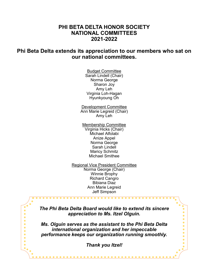## **PHI BETA DELTA HONOR SOCIETY NATIONAL COMMITTEES 2021-2022**

## **Phi Beta Delta extends its appreciation to our members who sat on our national committees.**

Budget Committee Sarah Lindell (Chair) Norma George Sharon Joy Amy Leh Virginia Loh-Hagan Hyunkyoung Oh

Development Committee Ann Marie Legreid (Chair) Amy Leh

Membership Committee Virginia Hicks (Chair) Michael Alfolabi Anize Appel Norma George Sarah Lindell Maricy Schmitz Michael Smithee

Regional Vice President Committee Norma George (Chair) Winnie Brophy Richard Cangro Bibiana Diaz Ann Marie Legreid Jeff Simpson

*The Phi Beta Delta Board would like to extend its sincere appreciation to Ms. Itzel Olguin.* 

*Ms. Olguin serves as the assistant to the Phi Beta Delta international organization and her impeccable performance keeps our organization running smoothly.* 

 $\blacksquare$  $\bullet$  $\bullet$ 

*Thank you Itzel!* 

. . . . . . . . . . . . . . .

 $\bullet$  $\bullet$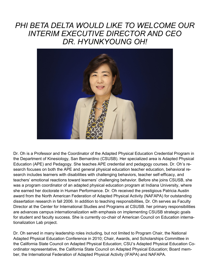## *PHI BETA DELTA WOULD LIKE TO WELCOME OUR INTERIM EXECUTIVE DIRECTOR AND CEO DR. HYUNKYOUNG OH!*



Dr. Oh is a Professor and the Coordinator of the Adapted Physical Education Credential Program in the Department of Kinesiology, San Bernardino (CSUSB). Her specialized area is Adapted Physical Education (APE) and Pedagogy. She teaches APE credential and pedagogy courses. Dr. Oh's research focuses on both the APE and general physical education teacher education, behavioral research includes learners with disabilities with challenging behaviors, teacher self-efficacy, and teachers' emotional reactions toward learners' challenging behavior. Before she joins CSUSB, she was a program coordinator of an adapted physical education program at Indiana University, where she earned her doctorate in Human Performance. Dr. Oh received the prestigious Patricia Austin award from the North American Federation of Adapted Physical Activity (NAFAPA) for outstanding dissertation research in fall 2006. In addition to teaching responsibilities, Dr. Oh serves as Faculty Director at the Center for International Studies and Programs at CSUSB. her primary responsibilities are advances campus internationalization with emphasis on implementing CSUSB strategic goals for student and faculty success. She is currently co-chair of American Council on Education internationalization Lab project.

Dr. Oh served in many leadership roles including, but not limited to Program Chair, the National Adapted Physical Education Conference in 2010; Chair, Awards, and Scholarships Committee in the California State Council on Adapted Physical Education; CSU's Adapted Physical Education Coordinator representative, the California State Council on Adapted Physical Education; Board member, the International Federation of Adapted Physical Activity (IFAPA) and NAFAPA.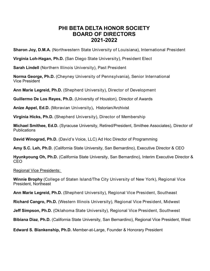## **PHI BETA DELTA HONOR SOCIETY BOARD OF DIRECTORS 2021-2022**

**Sharon Joy, D.M.A.** (Northwestern State University of Louisiana), International President

**Virginia Loh-Hagan, Ph.D.** (San Diego State University), President Elect

**Sarah Lindell** (Northern Illinois University), Past President

**Norma George, Ph.D.** (Cheyney University of Pennsylvania), Senior International Vice President

**Ann Marie Legreid, Ph.D.** (Shepherd University), Director of Development

**Guillermo De Los Reyes, Ph.D.** (University of Houston), Director of Awards

**Anize Appel, Ed.D.** (Moravian University)**,** Historian/Archivist

**Virginia Hicks, Ph.D.** (Shepherd University), Director of Membership

**Michael Smithee, Ed.D.** (Syracuse University, Retired/President, Smithee Associates), Director of Publications

**David Winograd, Ph.D.** (David's Voice, LLC) Ad Hoc Director of Programming

**Amy S.C. Leh, Ph.D.** (California State University, San Bernardino), Executive Director & CEO

**Hyunkyoung Oh, Ph.D.** (California State University, San Bernardino), Interim Executive Director & CEO

Regional Vice Presidents:

**Winnie Brophy** (College of Staten Island/The City University of New York), Regional Vice President, Northeast

**Ann Marie Legreid, Ph.D.** (Shepherd University), Regional Vice President, Southeast

**Richard Cangro, Ph.D.** (Western Illinois University), Regional Vice President, Midwest

**Jeff Simpson, Ph.D.** (Oklahoma State University), Regional Vice President, Southwest

**Bibiana Diaz**, **Ph.D.** (California State University, San Bernardino), Regional Vice President, West

**Edward S. Blankenship, Ph.D.** Member-at-Large, Founder & Honorary President